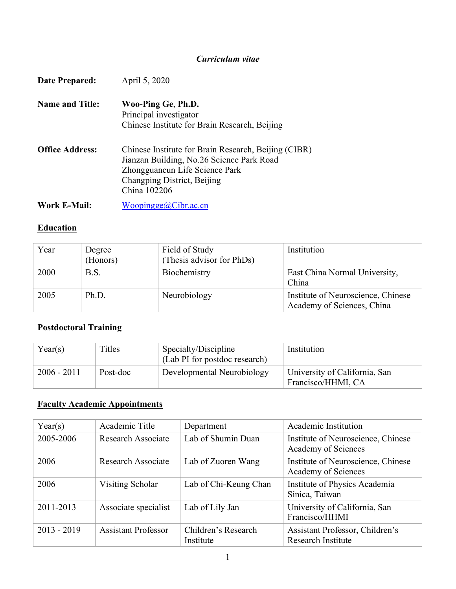### *Curriculum vitae*

| <b>Date Prepared:</b>  | April 5, 2020                                                                                                                                                                      |
|------------------------|------------------------------------------------------------------------------------------------------------------------------------------------------------------------------------|
| <b>Name and Title:</b> | Woo-Ping Ge, Ph.D.<br>Principal investigator<br>Chinese Institute for Brain Research, Beijing                                                                                      |
| <b>Office Address:</b> | Chinese Institute for Brain Research, Beijing (CIBR)<br>Jianzan Building, No.26 Science Park Road<br>Zhongguancun Life Science Park<br>Changping District, Beijing<br>China 102206 |
| <b>Work E-Mail:</b>    | Woopingge@Cibr.ac.cn                                                                                                                                                               |

# **Education**

| Year | Degree<br>(Honors) | Field of Study<br>(Thesis advisor for PhDs) | Institution                                                      |
|------|--------------------|---------------------------------------------|------------------------------------------------------------------|
| 2000 | B.S.               | Biochemistry                                | East China Normal University,<br>China                           |
| 2005 | Ph.D.              | Neurobiology                                | Institute of Neuroscience, Chinese<br>Academy of Sciences, China |

# **Postdoctoral Training**

| Year(s)       | Titles   | Specialty/Discipline<br>(Lab PI for postdoc research) | Institution                                         |
|---------------|----------|-------------------------------------------------------|-----------------------------------------------------|
| $2006 - 2011$ | Post-doc | Developmental Neurobiology                            | University of California, San<br>Francisco/HHMI, CA |

### **Faculty Academic Appointments**

| Year(s)       | Academic Title             | Department                       | Academic Institution                                      |
|---------------|----------------------------|----------------------------------|-----------------------------------------------------------|
| 2005-2006     | Research Associate         | Lab of Shumin Duan               | Institute of Neuroscience, Chinese<br>Academy of Sciences |
| 2006          | <b>Research Associate</b>  | Lab of Zuoren Wang               | Institute of Neuroscience, Chinese<br>Academy of Sciences |
| 2006          | Visiting Scholar           | Lab of Chi-Keung Chan            | Institute of Physics Academia<br>Sinica, Taiwan           |
| 2011-2013     | Associate specialist       | Lab of Lily Jan                  | University of California, San<br>Francisco/HHMI           |
| $2013 - 2019$ | <b>Assistant Professor</b> | Children's Research<br>Institute | Assistant Professor, Children's<br>Research Institute     |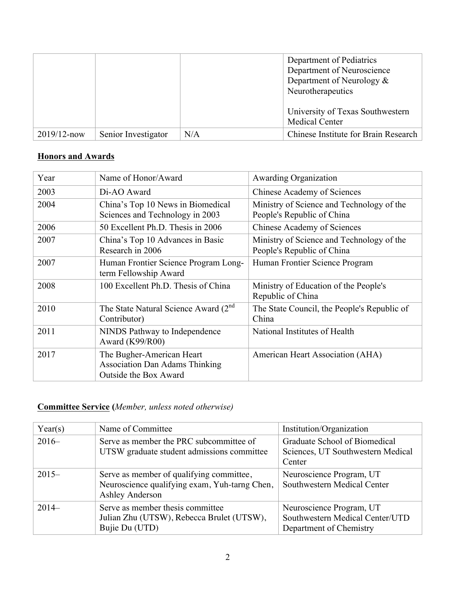|                |                     |     | Department of Pediatrics<br>Department of Neuroscience<br>Department of Neurology $\&$<br>Neurotherapeutics<br>University of Texas Southwestern<br><b>Medical Center</b> |
|----------------|---------------------|-----|--------------------------------------------------------------------------------------------------------------------------------------------------------------------------|
| $2019/12$ -now | Senior Investigator | N/A | Chinese Institute for Brain Research                                                                                                                                     |

# **Honors and Awards**

| Year | Name of Honor/Award                                                                         | Awarding Organization                                                   |
|------|---------------------------------------------------------------------------------------------|-------------------------------------------------------------------------|
| 2003 | Di-AO Award                                                                                 | Chinese Academy of Sciences                                             |
| 2004 | China's Top 10 News in Biomedical<br>Sciences and Technology in 2003                        | Ministry of Science and Technology of the<br>People's Republic of China |
| 2006 | 50 Excellent Ph.D. Thesis in 2006                                                           | <b>Chinese Academy of Sciences</b>                                      |
| 2007 | China's Top 10 Advances in Basic<br>Research in 2006                                        | Ministry of Science and Technology of the<br>People's Republic of China |
| 2007 | Human Frontier Science Program Long-<br>term Fellowship Award                               | Human Frontier Science Program                                          |
| 2008 | 100 Excellent Ph.D. Thesis of China                                                         | Ministry of Education of the People's<br>Republic of China              |
| 2010 | The State Natural Science Award (2 <sup>nd</sup> )<br>Contributor)                          | The State Council, the People's Republic of<br>China                    |
| 2011 | NINDS Pathway to Independence<br>Award (K99/R00)                                            | National Institutes of Health                                           |
| 2017 | The Bugher-American Heart<br><b>Association Dan Adams Thinking</b><br>Outside the Box Award | American Heart Association (AHA)                                        |

# **Committee Service (***Member, unless noted otherwise)*

| Year(s)  | Name of Committee                                                                                                   | Institution/Organization                                                               |
|----------|---------------------------------------------------------------------------------------------------------------------|----------------------------------------------------------------------------------------|
| $2016-$  | Serve as member the PRC subcommittee of<br>UTSW graduate student admissions committee                               | Graduate School of Biomedical<br>Sciences, UT Southwestern Medical<br>Center           |
| $2015 -$ | Serve as member of qualifying committee,<br>Neuroscience qualifying exam, Yuh-tarng Chen,<br><b>Ashley Anderson</b> | Neuroscience Program, UT<br>Southwestern Medical Center                                |
| $2014-$  | Serve as member thesis committee<br>Julian Zhu (UTSW), Rebecca Brulet (UTSW),<br>Bujie Du (UTD)                     | Neuroscience Program, UT<br>Southwestern Medical Center/UTD<br>Department of Chemistry |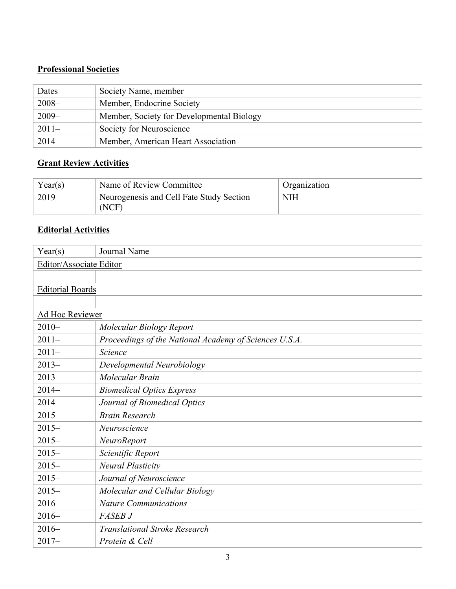# **Professional Societies**

| Dates    | Society Name, member                      |
|----------|-------------------------------------------|
| $2008 -$ | Member, Endocrine Society                 |
| $2009 -$ | Member, Society for Developmental Biology |
| $2011-$  | Society for Neuroscience                  |
| $2014-$  | Member, American Heart Association        |

### **Grant Review Activities**

| Year(s) | Name of Review Committee                          | <b>Organization</b> |
|---------|---------------------------------------------------|---------------------|
| 2019    | Neurogenesis and Cell Fate Study Section<br>(NCF) | <b>NIH</b>          |

#### **Editorial Activities**

| Year(s)                 | Journal Name                                           |
|-------------------------|--------------------------------------------------------|
| Editor/Associate Editor |                                                        |
|                         |                                                        |
| <b>Editorial Boards</b> |                                                        |
|                         |                                                        |
| Ad Hoc Reviewer         |                                                        |
| $2010 -$                | Molecular Biology Report                               |
| $2011-$                 | Proceedings of the National Academy of Sciences U.S.A. |
| $2011 -$                | Science                                                |
| $2013-$                 | Developmental Neurobiology                             |
| $2013-$                 | Molecular Brain                                        |
| $2014-$                 | <b>Biomedical Optics Express</b>                       |
| $2014-$                 | Journal of Biomedical Optics                           |
| $2015 -$                | <b>Brain Research</b>                                  |
| $2015 -$                | Neuroscience                                           |
| $2015 -$                | NeuroReport                                            |
| $2015 -$                | Scientific Report                                      |
| $2015 -$                | <b>Neural Plasticity</b>                               |
| $2015 -$                | Journal of Neuroscience                                |
| $2015 -$                | Molecular and Cellular Biology                         |
| $2016-$                 | <b>Nature Communications</b>                           |
| $2016-$                 | <b>FASEB J</b>                                         |
| $2016-$                 | <b>Translational Stroke Research</b>                   |
| $2017 -$                | Protein & Cell                                         |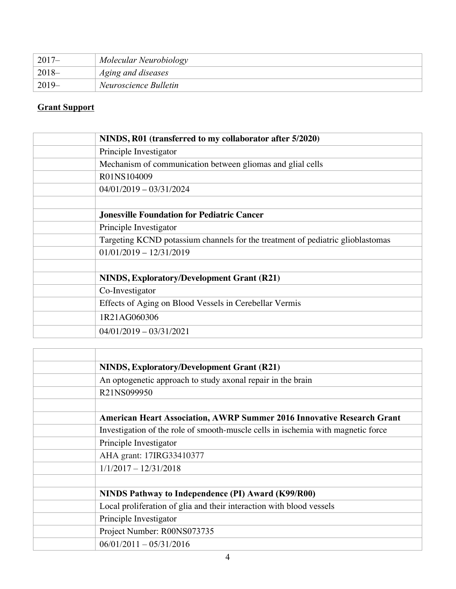| $2017 -$ | Molecular Neurobiology |
|----------|------------------------|
| $2018-$  | Aging and diseases     |
| $2019-$  | Neuroscience Bulletin  |

# **Grant Support**

 $\Box$ 

| NINDS, R01 (transferred to my collaborator after 5/2020)                       |
|--------------------------------------------------------------------------------|
| Principle Investigator                                                         |
| Mechanism of communication between gliomas and glial cells                     |
| R01NS104009                                                                    |
| $04/01/2019 - 03/31/2024$                                                      |
|                                                                                |
| <b>Jonesville Foundation for Pediatric Cancer</b>                              |
| Principle Investigator                                                         |
| Targeting KCND potassium channels for the treatment of pediatric glioblastomas |
| $01/01/2019 - 12/31/2019$                                                      |
|                                                                                |
| <b>NINDS, Exploratory/Development Grant (R21)</b>                              |
| Co-Investigator                                                                |
| Effects of Aging on Blood Vessels in Cerebellar Vermis                         |
| 1R21AG060306                                                                   |
| $04/01/2019 - 03/31/2021$                                                      |

| <b>NINDS, Exploratory/Development Grant (R21)</b>                                |
|----------------------------------------------------------------------------------|
| An optogenetic approach to study axonal repair in the brain                      |
| R21NS099950                                                                      |
|                                                                                  |
| <b>American Heart Association, AWRP Summer 2016 Innovative Research Grant</b>    |
| Investigation of the role of smooth-muscle cells in ischemia with magnetic force |
| Principle Investigator                                                           |
| AHA grant: 17IRG33410377                                                         |
| $1/1/2017 - 12/31/2018$                                                          |
|                                                                                  |
| NINDS Pathway to Independence (PI) Award (K99/R00)                               |
| Local proliferation of glia and their interaction with blood vessels             |
| Principle Investigator                                                           |
| Project Number: R00NS073735                                                      |
| $06/01/2011 - 05/31/2016$                                                        |
|                                                                                  |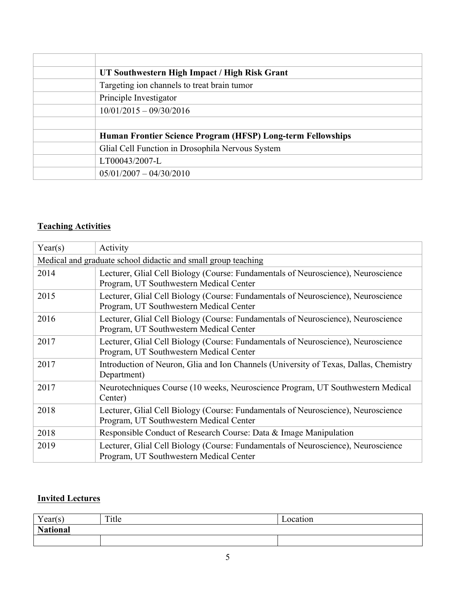| UT Southwestern High Impact / High Risk Grant               |
|-------------------------------------------------------------|
| Targeting ion channels to treat brain tumor                 |
| Principle Investigator                                      |
| $10/01/2015 - 09/30/2016$                                   |
|                                                             |
| Human Frontier Science Program (HFSP) Long-term Fellowships |
| Glial Cell Function in Drosophila Nervous System            |
| LT00043/2007-L                                              |
| $05/01/2007 - 04/30/2010$                                   |

# **Teaching Activities**

| Year(s)                                                       | Activity                                                                                                                     |  |
|---------------------------------------------------------------|------------------------------------------------------------------------------------------------------------------------------|--|
| Medical and graduate school didactic and small group teaching |                                                                                                                              |  |
| 2014                                                          | Lecturer, Glial Cell Biology (Course: Fundamentals of Neuroscience), Neuroscience<br>Program, UT Southwestern Medical Center |  |
| 2015                                                          | Lecturer, Glial Cell Biology (Course: Fundamentals of Neuroscience), Neuroscience<br>Program, UT Southwestern Medical Center |  |
| 2016                                                          | Lecturer, Glial Cell Biology (Course: Fundamentals of Neuroscience), Neuroscience<br>Program, UT Southwestern Medical Center |  |
| 2017                                                          | Lecturer, Glial Cell Biology (Course: Fundamentals of Neuroscience), Neuroscience<br>Program, UT Southwestern Medical Center |  |
| 2017                                                          | Introduction of Neuron, Glia and Ion Channels (University of Texas, Dallas, Chemistry<br>Department)                         |  |
| 2017                                                          | Neurotechniques Course (10 weeks, Neuroscience Program, UT Southwestern Medical<br>Center)                                   |  |
| 2018                                                          | Lecturer, Glial Cell Biology (Course: Fundamentals of Neuroscience), Neuroscience<br>Program, UT Southwestern Medical Center |  |
| 2018                                                          | Responsible Conduct of Research Course: Data & Image Manipulation                                                            |  |
| 2019                                                          | Lecturer, Glial Cell Biology (Course: Fundamentals of Neuroscience), Neuroscience<br>Program, UT Southwestern Medical Center |  |

#### **Invited Lectures**

| Year(s)         | Title | ∟ocation |
|-----------------|-------|----------|
| <b>National</b> |       |          |
|                 |       |          |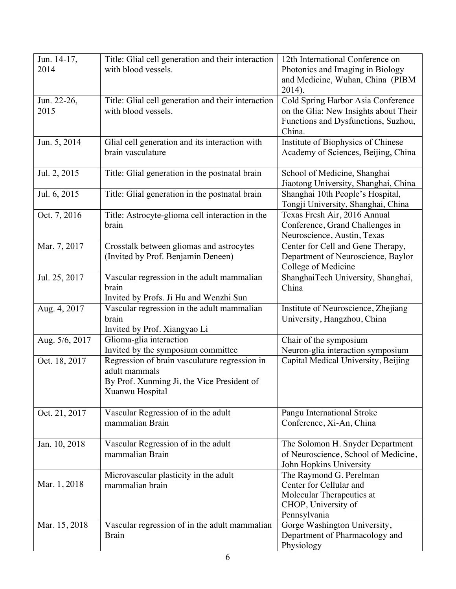| Jun. 14-17,    | Title: Glial cell generation and their interaction | 12th International Conference on      |
|----------------|----------------------------------------------------|---------------------------------------|
| 2014           | with blood vessels.                                | Photonics and Imaging in Biology      |
|                |                                                    | and Medicine, Wuhan, China (PIBM      |
|                |                                                    | $2014$ ).                             |
| Jun. 22-26,    | Title: Glial cell generation and their interaction | Cold Spring Harbor Asia Conference    |
| 2015           | with blood vessels.                                | on the Glia: New Insights about Their |
|                |                                                    |                                       |
|                |                                                    | Functions and Dysfunctions, Suzhou,   |
|                |                                                    | China.                                |
| Jun. 5, 2014   | Glial cell generation and its interaction with     | Institute of Biophysics of Chinese    |
|                | brain vasculature                                  | Academy of Sciences, Beijing, China   |
|                |                                                    |                                       |
| Jul. 2, 2015   | Title: Glial generation in the postnatal brain     | School of Medicine, Shanghai          |
|                |                                                    | Jiaotong University, Shanghai, China  |
| Jul. 6, 2015   | Title: Glial generation in the postnatal brain     | Shanghai 10th People's Hospital,      |
|                |                                                    | Tongji University, Shanghai, China    |
| Oct. 7, 2016   | Title: Astrocyte-glioma cell interaction in the    | Texas Fresh Air, 2016 Annual          |
|                | brain                                              | Conference, Grand Challenges in       |
|                |                                                    | Neuroscience, Austin, Texas           |
| Mar. 7, 2017   | Crosstalk between gliomas and astrocytes           | Center for Cell and Gene Therapy,     |
|                | (Invited by Prof. Benjamin Deneen)                 | Department of Neuroscience, Baylor    |
|                |                                                    | College of Medicine                   |
| Jul. 25, 2017  | Vascular regression in the adult mammalian         | ShanghaiTech University, Shanghai,    |
|                | brain                                              | China                                 |
|                | Invited by Profs. Ji Hu and Wenzhi Sun             |                                       |
| Aug. 4, 2017   | Vascular regression in the adult mammalian         | Institute of Neuroscience, Zhejiang   |
|                | brain                                              | University, Hangzhou, China           |
|                | Invited by Prof. Xiangyao Li                       |                                       |
| Aug. 5/6, 2017 | Glioma-glia interaction                            | Chair of the symposium                |
|                | Invited by the symposium committee                 | Neuron-glia interaction symposium     |
| Oct. 18, 2017  | Regression of brain vasculature regression in      | Capital Medical University, Beijing   |
|                | adult mammals                                      |                                       |
|                | By Prof. Xunming Ji, the Vice President of         |                                       |
|                | Xuanwu Hospital                                    |                                       |
|                |                                                    |                                       |
| Oct. 21, 2017  | Vascular Regression of in the adult                | Pangu International Stroke            |
|                | mammalian Brain                                    | Conference, Xi-An, China              |
|                |                                                    |                                       |
| Jan. 10, 2018  | Vascular Regression of in the adult                | The Solomon H. Snyder Department      |
|                | mammalian Brain                                    | of Neuroscience, School of Medicine,  |
|                |                                                    | John Hopkins University               |
|                | Microvascular plasticity in the adult              | The Raymond G. Perelman               |
| Mar. 1, 2018   | mammalian brain                                    | Center for Cellular and               |
|                |                                                    | Molecular Therapeutics at             |
|                |                                                    | CHOP, University of                   |
|                |                                                    | Pennsylvania                          |
| Mar. 15, 2018  | Vascular regression of in the adult mammalian      | Gorge Washington University,          |
|                | <b>Brain</b>                                       | Department of Pharmacology and        |
|                |                                                    |                                       |
|                |                                                    | Physiology                            |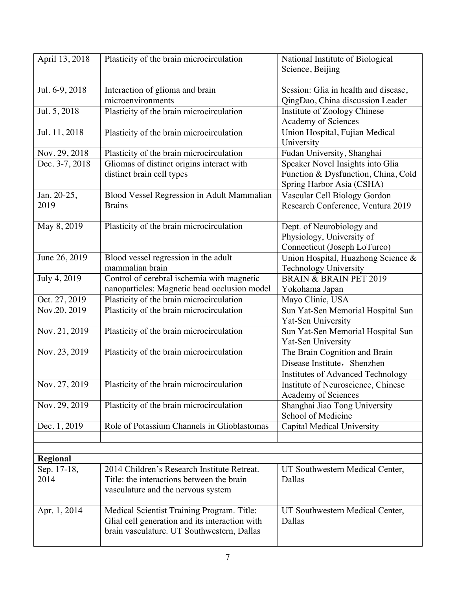| April 13, 2018 | Plasticity of the brain microcirculation       | National Institute of Biological     |
|----------------|------------------------------------------------|--------------------------------------|
|                |                                                | Science, Beijing                     |
|                |                                                |                                      |
| Jul. 6-9, 2018 | Interaction of glioma and brain                | Session: Glia in health and disease, |
|                | microenvironments                              | QingDao, China discussion Leader     |
| Jul. 5, 2018   | Plasticity of the brain microcirculation       | Institute of Zoology Chinese         |
|                |                                                | Academy of Sciences                  |
| Jul. 11, 2018  | Plasticity of the brain microcirculation       | Union Hospital, Fujian Medical       |
|                |                                                | University                           |
| Nov. 29, 2018  | Plasticity of the brain microcirculation       | Fudan University, Shanghai           |
| Dec. 3-7, 2018 | Gliomas of distinct origins interact with      | Speaker Novel Insights into Glia     |
|                | distinct brain cell types                      | Function & Dysfunction, China, Cold  |
|                |                                                | Spring Harbor Asia (CSHA)            |
| Jan. 20-25,    | Blood Vessel Regression in Adult Mammalian     | Vascular Cell Biology Gordon         |
| 2019           | <b>Brains</b>                                  | Research Conference, Ventura 2019    |
|                |                                                |                                      |
| May 8, 2019    | Plasticity of the brain microcirculation       | Dept. of Neurobiology and            |
|                |                                                | Physiology, University of            |
|                |                                                | Connecticut (Joseph LoTurco)         |
| June 26, 2019  | Blood vessel regression in the adult           | Union Hospital, Huazhong Science &   |
|                | mammalian brain                                | Technology University                |
| July 4, 2019   | Control of cerebral ischemia with magnetic     | <b>BRAIN &amp; BRAIN PET 2019</b>    |
|                | nanoparticles: Magnetic bead occlusion model   | Yokohama Japan                       |
| Oct. 27, 2019  | Plasticity of the brain microcirculation       | Mayo Clinic, USA                     |
| Nov.20, 2019   | Plasticity of the brain microcirculation       | Sun Yat-Sen Memorial Hospital Sun    |
|                |                                                | Yat-Sen University                   |
| Nov. 21, 2019  | Plasticity of the brain microcirculation       | Sun Yat-Sen Memorial Hospital Sun    |
|                |                                                | Yat-Sen University                   |
| Nov. 23, 2019  | Plasticity of the brain microcirculation       | The Brain Cognition and Brain        |
|                |                                                | Disease Institute, Shenzhen          |
|                |                                                | Institutes of Advanced Technology    |
| Nov. 27, 2019  | Plasticity of the brain microcirculation       | Institute of Neuroscience, Chinese   |
|                |                                                | Academy of Sciences                  |
| Nov. 29, 2019  | Plasticity of the brain microcirculation       | Shanghai Jiao Tong University        |
|                |                                                | School of Medicine                   |
| Dec. 1, 2019   | Role of Potassium Channels in Glioblastomas    | Capital Medical University           |
|                |                                                |                                      |
|                |                                                |                                      |
| Regional       |                                                |                                      |
| Sep. 17-18,    | 2014 Children's Research Institute Retreat.    | UT Southwestern Medical Center,      |
| 2014           | Title: the interactions between the brain      | Dallas                               |
|                | vasculature and the nervous system             |                                      |
|                |                                                |                                      |
| Apr. 1, 2014   | Medical Scientist Training Program. Title:     | UT Southwestern Medical Center,      |
|                | Glial cell generation and its interaction with | Dallas                               |
|                | brain vasculature. UT Southwestern, Dallas     |                                      |
|                |                                                |                                      |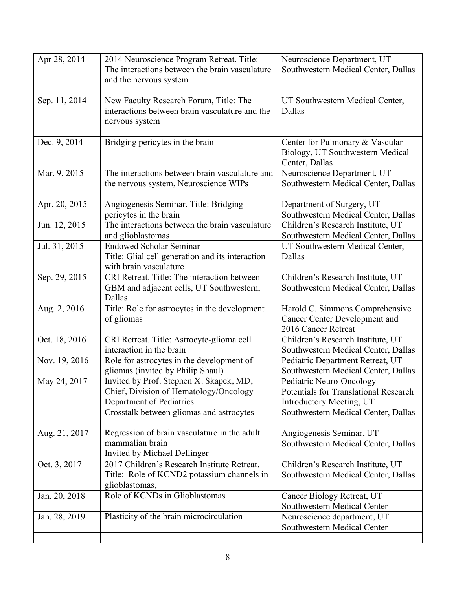| Apr 28, 2014  | 2014 Neuroscience Program Retreat. Title:                                      | Neuroscience Department, UT                                              |
|---------------|--------------------------------------------------------------------------------|--------------------------------------------------------------------------|
|               | The interactions between the brain vasculature                                 | Southwestern Medical Center, Dallas                                      |
|               | and the nervous system                                                         |                                                                          |
| Sep. 11, 2014 | New Faculty Research Forum, Title: The                                         | UT Southwestern Medical Center,                                          |
|               | interactions between brain vasculature and the                                 | Dallas                                                                   |
|               | nervous system                                                                 |                                                                          |
|               |                                                                                |                                                                          |
| Dec. 9, 2014  | Bridging pericytes in the brain                                                | Center for Pulmonary & Vascular                                          |
|               |                                                                                | Biology, UT Southwestern Medical                                         |
|               | The interactions between brain vasculature and                                 | Center, Dallas                                                           |
| Mar. 9, 2015  | the nervous system, Neuroscience WIPs                                          | Neuroscience Department, UT<br>Southwestern Medical Center, Dallas       |
|               |                                                                                |                                                                          |
| Apr. 20, 2015 | Angiogenesis Seminar. Title: Bridging                                          | Department of Surgery, UT                                                |
|               | pericytes in the brain                                                         | Southwestern Medical Center, Dallas                                      |
| Jun. 12, 2015 | The interactions between the brain vasculature                                 | Children's Research Institute, UT                                        |
|               | and glioblastomas                                                              | Southwestern Medical Center, Dallas                                      |
| Jul. 31, 2015 | <b>Endowed Scholar Seminar</b>                                                 | UT Southwestern Medical Center,                                          |
|               | Title: Glial cell generation and its interaction<br>with brain vasculature     | Dallas                                                                   |
| Sep. 29, 2015 | CRI Retreat. Title: The interaction between                                    | Children's Research Institute, UT                                        |
|               | GBM and adjacent cells, UT Southwestern,                                       | Southwestern Medical Center, Dallas                                      |
|               | Dallas                                                                         |                                                                          |
| Aug. 2, 2016  | Title: Role for astrocytes in the development                                  | Harold C. Simmons Comprehensive                                          |
|               | of gliomas                                                                     | Cancer Center Development and                                            |
|               |                                                                                | 2016 Cancer Retreat                                                      |
| Oct. 18, 2016 | CRI Retreat. Title: Astrocyte-glioma cell                                      | Children's Research Institute, UT                                        |
|               | interaction in the brain                                                       | Southwestern Medical Center, Dallas                                      |
| Nov. 19, 2016 | Role for astrocytes in the development of<br>gliomas (invited by Philip Shaul) | Pediatric Department Retreat, UT<br>Southwestern Medical Center, Dallas  |
| May 24, 2017  | Invited by Prof. Stephen X. Skapek, MD,                                        | Pediatric Neuro-Oncology -                                               |
|               | Chief, Division of Hematology/Oncology                                         | <b>Potentials for Translational Research</b>                             |
|               | Department of Pediatrics                                                       | Introductory Meeting, UT                                                 |
|               | Crosstalk between gliomas and astrocytes                                       | Southwestern Medical Center, Dallas                                      |
|               |                                                                                |                                                                          |
| Aug. 21, 2017 | Regression of brain vasculature in the adult                                   | Angiogenesis Seminar, UT                                                 |
|               | mammalian brain                                                                | Southwestern Medical Center, Dallas                                      |
|               | Invited by Michael Dellinger<br>2017 Children's Research Institute Retreat.    |                                                                          |
| Oct. 3, 2017  | Title: Role of KCND2 potassium channels in                                     | Children's Research Institute, UT<br>Southwestern Medical Center, Dallas |
|               | glioblastomas,                                                                 |                                                                          |
| Jan. 20, 2018 | Role of KCNDs in Glioblastomas                                                 | Cancer Biology Retreat, UT                                               |
|               |                                                                                | Southwestern Medical Center                                              |
| Jan. 28, 2019 | Plasticity of the brain microcirculation                                       | Neuroscience department, UT                                              |
|               |                                                                                | Southwestern Medical Center                                              |
|               |                                                                                |                                                                          |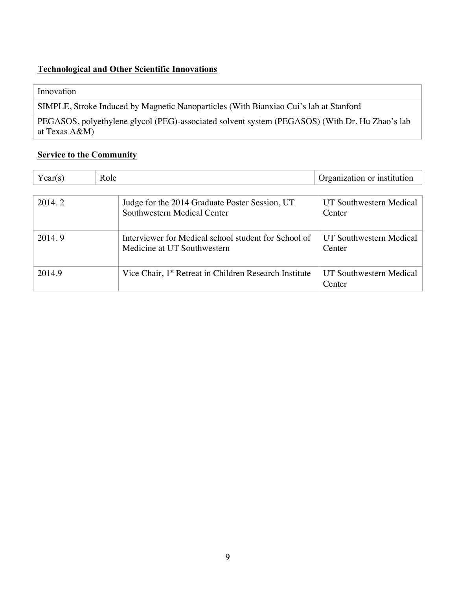#### **Technological and Other Scientific Innovations**

#### Innovation

SIMPLE, Stroke Induced by Magnetic Nanoparticles (With Bianxiao Cui's lab at Stanford

PEGASOS, polyethylene glycol (PEG)-associated solvent system (PEGASOS) (With Dr. Hu Zhao's lab at Texas A&M)

#### **Service to the Community**

| Year(s) | Role |                                                                                     | Organization or institution       |
|---------|------|-------------------------------------------------------------------------------------|-----------------------------------|
| 2014.2  |      | Judge for the 2014 Graduate Poster Session, UT<br>Southwestern Medical Center       | UT Southwestern Medical<br>Center |
| 2014.9  |      | Interviewer for Medical school student for School of<br>Medicine at UT Southwestern | UT Southwestern Medical<br>Center |
| 2014.9  |      | Vice Chair, 1 <sup>st</sup> Retreat in Children Research Institute                  | UT Southwestern Medical<br>Center |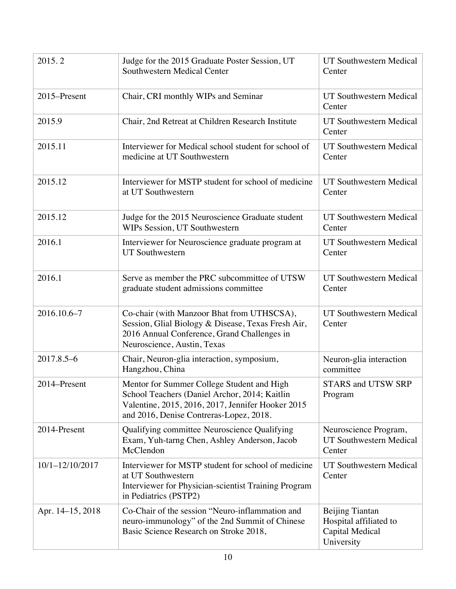| 2015.2           | Judge for the 2015 Graduate Poster Session, UT<br>Southwestern Medical Center                                                                                                               | UT Southwestern Medical<br>Center                                          |
|------------------|---------------------------------------------------------------------------------------------------------------------------------------------------------------------------------------------|----------------------------------------------------------------------------|
| 2015-Present     | Chair, CRI monthly WIPs and Seminar                                                                                                                                                         | UT Southwestern Medical<br>Center                                          |
| 2015.9           | Chair, 2nd Retreat at Children Research Institute                                                                                                                                           | UT Southwestern Medical<br>Center                                          |
| 2015.11          | Interviewer for Medical school student for school of<br>medicine at UT Southwestern                                                                                                         | UT Southwestern Medical<br>Center                                          |
| 2015.12          | Interviewer for MSTP student for school of medicine<br>at UT Southwestern                                                                                                                   | UT Southwestern Medical<br>Center                                          |
| 2015.12          | Judge for the 2015 Neuroscience Graduate student<br>WIPs Session, UT Southwestern                                                                                                           | UT Southwestern Medical<br>Center                                          |
| 2016.1           | Interviewer for Neuroscience graduate program at<br><b>UT Southwestern</b>                                                                                                                  | UT Southwestern Medical<br>Center                                          |
| 2016.1           | Serve as member the PRC subcommittee of UTSW<br>graduate student admissions committee                                                                                                       | UT Southwestern Medical<br>Center                                          |
| 2016.10.6-7      | Co-chair (with Manzoor Bhat from UTHSCSA),<br>Session, Glial Biology & Disease, Texas Fresh Air,<br>2016 Annual Conference, Grand Challenges in<br>Neuroscience, Austin, Texas              | UT Southwestern Medical<br>Center                                          |
| 2017.8.5-6       | Chair, Neuron-glia interaction, symposium,<br>Hangzhou, China                                                                                                                               | Neuron-glia interaction<br>committee                                       |
| 2014–Present     | Mentor for Summer College Student and High<br>School Teachers (Daniel Archor, 2014; Kaitlin<br>Valentine, 2015, 2016, 2017, Jennifer Hooker 2015<br>and 2016, Denise Contreras-Lopez, 2018. | <b>STARS and UTSW SRP</b><br>Program                                       |
| 2014-Present     | Qualifying committee Neuroscience Qualifying<br>Exam, Yuh-tarng Chen, Ashley Anderson, Jacob<br>McClendon                                                                                   | Neuroscience Program,<br>UT Southwestern Medical<br>Center                 |
| 10/1-12/10/2017  | Interviewer for MSTP student for school of medicine<br>at UT Southwestern<br>Interviewer for Physician-scientist Training Program<br>in Pediatrics (PSTP2)                                  | UT Southwestern Medical<br>Center                                          |
| Apr. 14–15, 2018 | Co-Chair of the session "Neuro-inflammation and<br>neuro-immunology" of the 2nd Summit of Chinese<br>Basic Science Research on Stroke 2018,                                                 | Beijing Tiantan<br>Hospital affiliated to<br>Capital Medical<br>University |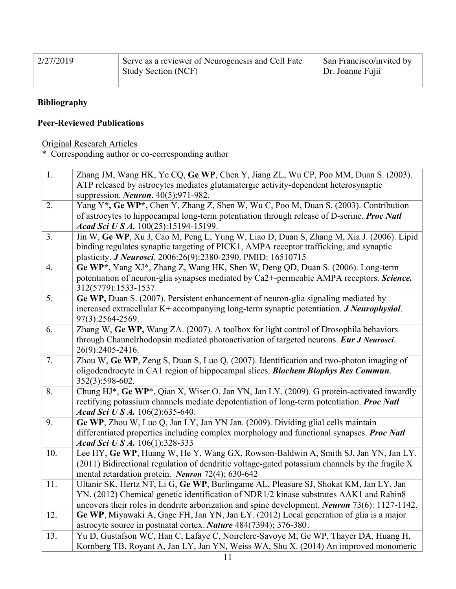| 2/27/2019 | Serve as a reviewer of Neurogenesis and Cell Fate | San Francisco/invited by |
|-----------|---------------------------------------------------|--------------------------|
|           | <b>Study Section (NCF)</b>                        | Dr. Joanne Fujii         |

# **Bibliography**

#### **Peer-Reviewed Publications**

Original Research Articles

\* Corresponding author or co-corresponding author

| 1.  | Zhang JM, Wang HK, Ye CQ, Ge WP, Chen Y, Jiang ZL, Wu CP, Poo MM, Duan S. (2003).                                            |
|-----|------------------------------------------------------------------------------------------------------------------------------|
|     | ATP released by astrocytes mediates glutamatergic activity-dependent heterosynaptic                                          |
|     | suppression. <i>Neuron</i> . 40(5):971-982.                                                                                  |
| 2.  | Yang Y*, Ge WP*, Chen Y, Zhang Z, Shen W, Wu C, Poo M, Duan S. (2003). Contribution                                          |
|     | of astrocytes to hippocampal long-term potentiation through release of D-serine. <i>Proc Natl</i>                            |
|     | Acad Sci U S A. 100(25):15194-15199.                                                                                         |
| 3.  | Jin W, Ge WP, Xu J, Cao M, Peng L, Yung W, Liao D, Duan S, Zhang M, Xia J. (2006). Lipid                                     |
|     | binding regulates synaptic targeting of PICK1, AMPA receptor trafficking, and synaptic                                       |
|     | plasticity. J Neurosci. 2006:26(9):2380-2390. PMID: 16510715                                                                 |
| 4.  | Ge WP*, Yang XJ*, Zhang Z, Wang HK, Shen W, Deng QD, Duan S. (2006). Long-term                                               |
|     | potentiation of neuron-glia synapses mediated by Ca2+-permeable AMPA receptors. Science.                                     |
|     | 312(5779):1533-1537.                                                                                                         |
| 5.  | Ge WP, Duan S. (2007). Persistent enhancement of neuron-glia signaling mediated by                                           |
|     | increased extracellular K+ accompanying long-term synaptic potentiation. <i>J Neurophysiol</i> .                             |
|     | 97(3):2564-2569.                                                                                                             |
| 6.  | Zhang W, Ge WP, Wang ZA. (2007). A toolbox for light control of Drosophila behaviors                                         |
|     | through Channelrhodopsin mediated photoactivation of targeted neurons. Eur J Neurosci.                                       |
|     | 26(9):2405-2416.                                                                                                             |
| 7.  | Zhou W, Ge WP, Zeng S, Duan S, Luo Q. (2007). Identification and two-photon imaging of                                       |
|     | oligodendrocyte in CA1 region of hippocampal slices. Biochem Biophys Res Commun.                                             |
| 8.  | 352(3):598-602.                                                                                                              |
|     | Chung HJ*, Ge WP*, Qian X, Wiser O, Jan YN, Jan LY. (2009). G protein-activated inwardly                                     |
|     | rectifying potassium channels mediate depotentiation of long-term potentiation. Proc Natl<br>Acad Sci U S A. 106(2):635-640. |
| 9.  | Ge WP, Zhou W, Luo Q, Jan LY, Jan YN Jan. (2009). Dividing glial cells maintain                                              |
|     | differentiated properties including complex morphology and functional synapses. <i>Proc Natl</i>                             |
|     | Acad Sci U S A. 106(1):328-333                                                                                               |
| 10. | Lee HY, Ge WP, Huang W, He Y, Wang GX, Rowson-Baldwin A, Smith SJ, Jan YN, Jan LY.                                           |
|     | (2011) Bidirectional regulation of dendritic voltage-gated potassium channels by the fragile X                               |
|     | mental retardation protein. Neuron 72(4); 630-642                                                                            |
| 11. | Ultanir SK, Hertz NT, Li G, Ge WP, Burlingame AL, Pleasure SJ, Shokat KM, Jan LY, Jan                                        |
|     | YN. (2012) Chemical genetic identification of NDR1/2 kinase substrates AAK1 and Rabin8                                       |
|     | uncovers their roles in dendrite arborization and spine development. <i>Neuron</i> 73(6): 1127-1142.                         |
| 12. | Ge WP, Miyawaki A, Gage FH, Jan YN, Jan LY. (2012) Local generation of glia is a major                                       |
|     | astrocyte source in postnatal cortex. Nature 484(7394); 376-380.                                                             |
| 13. | Yu D, Gustafson WC, Han C, Lafaye C, Noirclerc-Savoye M, Ge WP, Thayer DA, Huang H,                                          |
|     | Kornberg TB, Royant A, Jan LY, Jan YN, Weiss WA, Shu X. (2014) An improved monomeric                                         |
|     | 11                                                                                                                           |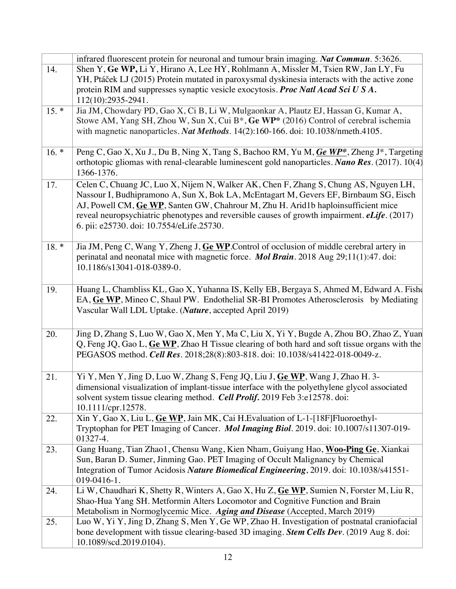|        | infrared fluorescent protein for neuronal and tumour brain imaging. Nat Commun. 5:3626.                       |
|--------|---------------------------------------------------------------------------------------------------------------|
| 14.    | Shen Y, Ge WP, Li Y, Hirano A, Lee HY, Rohlmann A, Missler M, Tsien RW, Jan LY, Fu                            |
|        | YH, Ptáček LJ (2015) Protein mutated in paroxysmal dyskinesia interacts with the active zone                  |
|        | protein RIM and suppresses synaptic vesicle exocytosis. Proc Natl Acad Sci U S A.                             |
|        | 112(10):2935-2941.                                                                                            |
| $15.*$ | Jia JM, Chowdary PD, Gao X, Ci B, Li W, Mulgaonkar A, Plautz EJ, Hassan G, Kumar A,                           |
|        | Stowe AM, Yang SH, Zhou W, Sun X, Cui B <sup>*</sup> , Ge WP <sup>*</sup> (2016) Control of cerebral ischemia |
|        | with magnetic nanoparticles. Nat Methods. 14(2):160-166. doi: 10.1038/nmeth.4105.                             |
|        |                                                                                                               |
| $16.*$ | Peng C, Gao X, Xu J., Du B, Ning X, Tang S, Bachoo RM, Yu M, Ge WP*, Zheng J*, Targeting                      |
|        | orthotopic gliomas with renal-clearable luminescent gold nanoparticles. Nano Res. (2017). 10(4)               |
|        | 1366-1376.                                                                                                    |
|        | Celen C, Chuang JC, Luo X, Nijem N, Walker AK, Chen F, Zhang S, Chung AS, Nguyen LH,                          |
| 17.    |                                                                                                               |
|        | Nassour I, Budhipramono A, Sun X, Bok LA, McEntagart M, Gevers EF, Birnbaum SG, Eisch                         |
|        | AJ, Powell CM, Ge WP, Santen GW, Chahrour M, Zhu H. Arid1b haploinsufficient mice                             |
|        | reveal neuropsychiatric phenotypes and reversible causes of growth impairment. eLife. (2017)                  |
|        | 6. pii: e25730. doi: 10.7554/eLife.25730.                                                                     |
|        |                                                                                                               |
| $18.*$ | Jia JM, Peng C, Wang Y, Zheng J, Ge WP. Control of occlusion of middle cerebral artery in                     |
|        | perinatal and neonatal mice with magnetic force. Mol Brain. 2018 Aug 29;11(1):47. doi:                        |
|        | 10.1186/s13041-018-0389-0.                                                                                    |
|        |                                                                                                               |
| 19.    | Huang L, Chambliss KL, Gao X, Yuhanna IS, Kelly EB, Bergaya S, Ahmed M, Edward A. Fish                        |
|        | EA, Ge WP, Mineo C, Shaul PW. Endothelial SR-BI Promotes Atherosclerosis by Mediating                         |
|        | Vascular Wall LDL Uptake. (Nature, accepted April 2019)                                                       |
|        |                                                                                                               |
| 20.    | Jing D, Zhang S, Luo W, Gao X, Men Y, Ma C, Liu X, Yi Y, Bugde A, Zhou BO, Zhao Z, Yuan                       |
|        | Q, Feng JQ, Gao L, $Ge$ WP, Zhao H Tissue clearing of both hard and soft tissue organs with the               |
|        | PEGASOS method. Cell Res. 2018;28(8):803-818. doi: 10.1038/s41422-018-0049-z.                                 |
|        |                                                                                                               |
|        | Yi Y, Men Y, Jing D, Luo W, Zhang S, Feng JQ, Liu J, Ge WP, Wang J, Zhao H. 3-                                |
| 21.    |                                                                                                               |
|        | dimensional visualization of implant-tissue interface with the polyethylene glycol associated                 |
|        | solvent system tissue clearing method. Cell Prolif. 2019 Feb 3:e12578. doi:                                   |
|        | 10.1111/cpr.12578.                                                                                            |
| 22.    | Xin Y, Gao X, Liu L, Ge WP, Jain MK, Cai H. Evaluation of L-1-[18F] Fluoroethyl-                              |
|        | Tryptophan for PET Imaging of Cancer. Mol Imaging Biol. 2019. doi: 10.1007/s11307-019-                        |
|        | 01327-4.                                                                                                      |
| 23.    | Gang Huang, Tian Zhao1, Chensu Wang, Kien Nham, Guiyang Hao, Woo-Ping Ge, Xiankai                             |
|        | Sun, Baran D. Sumer, Jinming Gao. PET Imaging of Occult Malignancy by Chemical                                |
|        | Integration of Tumor Acidosis Nature Biomedical Engineering, 2019. doi: 10.1038/s41551-                       |
|        | 019-0416-1.                                                                                                   |
| 24.    | Li W, Chaudhari K, Shetty R, Winters A, Gao X, Hu Z, Ge WP, Sumien N, Forster M, Liu R,                       |
|        | Shao-Hua Yang SH. Metformin Alters Locomotor and Cognitive Function and Brain                                 |
|        | Metabolism in Normoglycemic Mice. Aging and Disease (Accepted, March 2019)                                    |
| 25.    | Luo W, Yi Y, Jing D, Zhang S, Men Y, Ge WP, Zhao H. Investigation of postnatal craniofacial                   |
|        | bone development with tissue clearing-based 3D imaging. Stem Cells Dev. (2019 Aug 8. doi:                     |
|        | 10.1089/scd.2019.0104).                                                                                       |
|        |                                                                                                               |